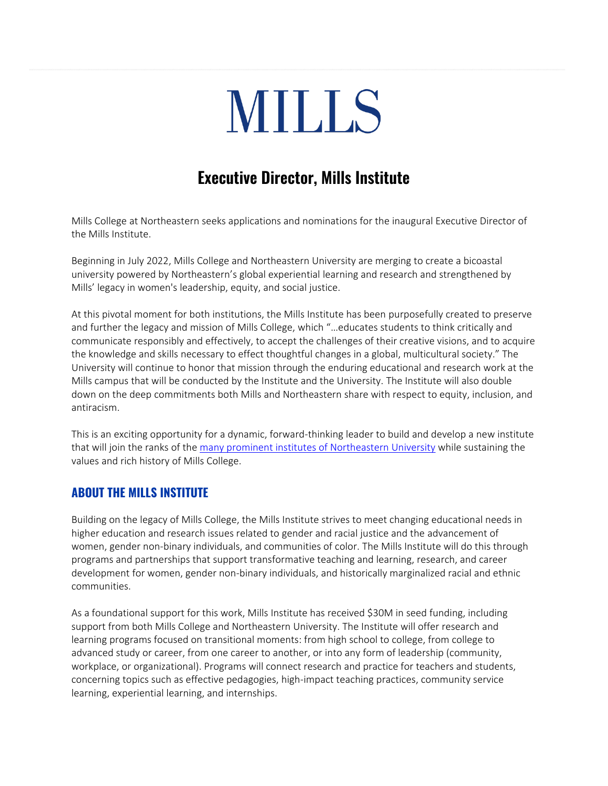# **MILLS**

# **Executive Director, Mills Institute**

Mills College at Northeastern seeks applications and nominations for the inaugural Executive Director of the Mills Institute.

Beginning in July 2022, Mills College and Northeastern University are merging to create a bicoastal university powered by Northeastern's global experiential learning and research and strengthened by Mills' legacy in women's leadership, equity, and social justice.

At this pivotal moment for both institutions, the Mills Institute has been purposefully created to preserve and further the legacy and mission of Mills College, which "…educates students to think critically and communicate responsibly and effectively, to accept the challenges of their creative visions, and to acquire the knowledge and skills necessary to effect thoughtful changes in a global, multicultural society." The University will continue to honor that mission through the enduring educational and research work at the Mills campus that will be conducted by the Institute and the University. The Institute will also double down on the deep commitments both Mills and Northeastern share with respect to equity, inclusion, and antiracism.

This is an exciting opportunity for a dynamic, forward-thinking leader to build and develop a new institute that will join the ranks of the many [prominent institutes of Northeastern University](https://www.northeastern.edu/institutes/) while sustaining the values and rich history of Mills College.

# **ABOUT THE MILLS INSTITUTE**

Building on the legacy of Mills College, the Mills Institute strives to meet changing educational needs in higher education and research issues related to gender and racial justice and the advancement of women, gender non-binary individuals, and communities of color. The Mills Institute will do this through programs and partnerships that support transformative teaching and learning, research, and career development for women, gender non-binary individuals, and historically marginalized racial and ethnic communities.

As a foundational support for this work, Mills Institute has received \$30M in seed funding, including support from both Mills College and Northeastern University. The Institute will offer research and learning programs focused on transitional moments: from high school to college, from college to advanced study or career, from one career to another, or into any form of leadership (community, workplace, or organizational). Programs will connect research and practice for teachers and students, concerning topics such as effective pedagogies, high-impact teaching practices, community service learning, experiential learning, and internships.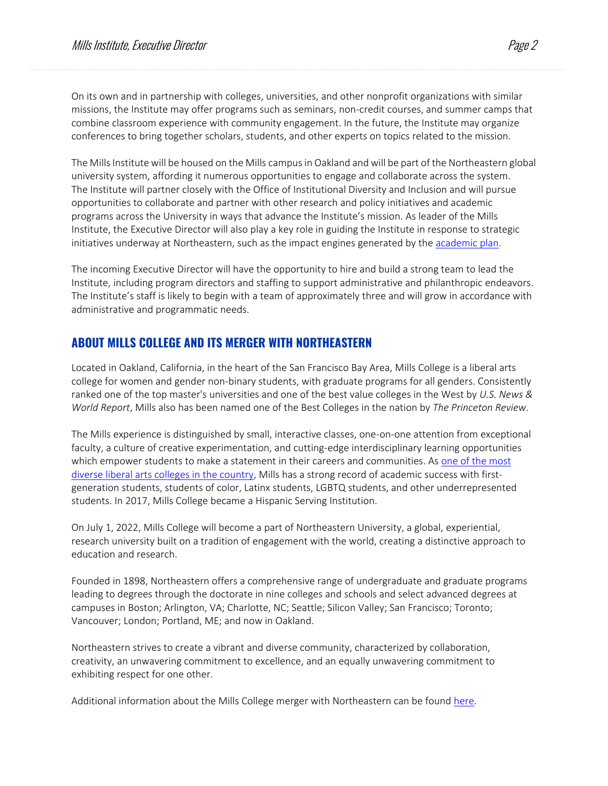On its own and in partnership with colleges, universities, and other nonprofit organizations with similar missions, the Institute may offer programs such as seminars, non-credit courses, and summer camps that combine classroom experience with community engagement. In the future, the Institute may organize conferences to bring together scholars, students, and other experts on topics related to the mission.

The Mills Institute will be housed on the Mills campus in Oakland and will be part of the Northeastern global university system, affording it numerous opportunities to engage and collaborate across the system. The Institute will partner closely with the Office of Institutional Diversity and Inclusion and will pursue opportunities to collaborate and partner with other research and policy initiatives and academic programs across the University in ways that advance the Institute's mission. As leader of the Mills Institute, the Executive Director will also play a key role in guiding the Institute in response to strategic initiatives underway at Northeastern, such as the impact engines generated by the [academic plan.](https://academicplan.northeastern.edu/)

The incoming Executive Director will have the opportunity to hire and build a strong team to lead the Institute, including program directors and staffing to support administrative and philanthropic endeavors. The Institute's staff is likely to begin with a team of approximately three and will grow in accordance with administrative and programmatic needs.

## **ABOUT MILLS COLLEGE AND ITS MERGER WITH NORTHEASTERN**

Located in Oakland, California, in the heart of the San Francisco Bay Area, Mills College is a liberal arts college for women and gender non-binary students, with graduate programs for all genders. Consistently ranked one of the top master's universities and one of the best value colleges in the West by *U.S. News & World Report*, Mills also has been named one of the Best Colleges in the nation by *The Princeton Review*.

The Mills experience is distinguished by small, interactive classes, one-on-one attention from exceptional faculty, a culture of creative experimentation, and cutting-edge interdisciplinary learning opportunities which empower students to make a statement in their careers and communities. As [one of the most](https://www.mills.edu/uniquely-mills/what-we-stand-for/index.php)  [diverse liberal arts colleges in the country,](https://www.mills.edu/uniquely-mills/what-we-stand-for/index.php) Mills has a strong record of academic success with firstgeneration students, students of color, Latinx students, LGBTQ students, and other underrepresented students. In 2017, Mills College became a Hispanic Serving Institution.

On July 1, 2022, Mills College will become a part of Northeastern University, a global, experiential, research university built on a tradition of engagement with the world, creating a distinctive approach to education and research.

Founded in 1898, Northeastern offers a comprehensive range of undergraduate and graduate programs leading to degrees through the doctorate in nine colleges and schools and select advanced degrees at campuses in Boston; Arlington, VA; Charlotte, NC; Seattle; Silicon Valley; San Francisco; Toronto; Vancouver; London; Portland, ME; and now in Oakland.

Northeastern strives to create a vibrant and diverse community, characterized by collaboration, creativity, an unwavering commitment to excellence, and an equally unwavering commitment to exhibiting respect for one other.

Additional information about the Mills College merger with Northeastern can be found [here.](https://www.mills.edu/merger/index.php)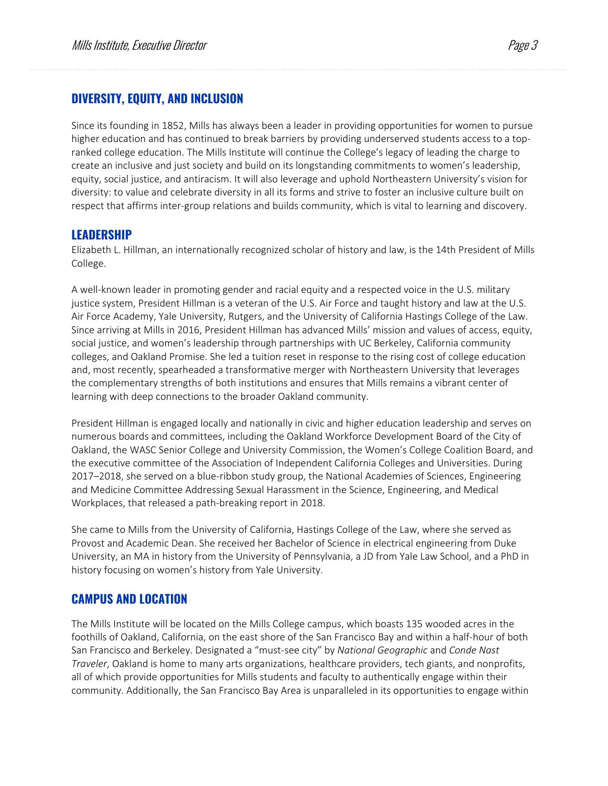## **DIVERSITY, EQUITY, AND INCLUSION**

Since its founding in 1852, Mills has always been a leader in providing opportunities for women to pursue higher education and has continued to break barriers by providing underserved students access to a topranked college education. The Mills Institute will continue the College's legacy of leading the charge to create an inclusive and just society and build on its longstanding commitments to women's leadership, equity, social justice, and antiracism. It will also leverage and uphold Northeastern University's vision for diversity: to value and celebrate diversity in all its forms and strive to foster an inclusive culture built on respect that affirms inter-group relations and builds community, which is vital to learning and discovery.

#### **LEADERSHIP**

Elizabeth L. Hillman, an internationally recognized scholar of history and law, is the 14th President of Mills College.

A well-known leader in promoting gender and racial equity and a respected voice in the U.S. military justice system, President Hillman is a veteran of the U.S. Air Force and taught history and law at the U.S. Air Force Academy, Yale University, Rutgers, and the University of California Hastings College of the Law. Since arriving at Mills in 2016, President Hillman has advanced Mills' mission and values of access, equity, social justice, and women's leadership through partnerships with UC Berkeley, California community colleges, and Oakland Promise. She led a tuition reset in response to the rising cost of college education and, most recently, spearheaded a transformative merger with Northeastern University that leverages the complementary strengths of both institutions and ensures that Mills remains a vibrant center of learning with deep connections to the broader Oakland community.

President Hillman is engaged locally and nationally in civic and higher education leadership and serves on numerous boards and committees, including the Oakland Workforce Development Board of the City of Oakland, the [WASC Senior College and University Commission,](https://www.wscuc.org/) the [Women's College Coalition](http://www.womenscolleges.org/about) Board, and the executive committee of the [Association of Independent California Colleges and](https://aiccu.edu/) Universities. During 2017–2018, she served on a blue-ribbon study group, the [National Academies of Sciences, Engineering](https://www.nationalacademies.org/our-work/sexual-harassment-in-academia)  [and Medicine Committee Addressing Sexual Harassment in the Science, Engineering, and Medical](https://www.nationalacademies.org/our-work/sexual-harassment-in-academia)  [Workplaces,](https://www.nationalacademies.org/our-work/sexual-harassment-in-academia) that released a path-breaking report in 2018.

She came to Mills from the University of California, Hastings College of the Law, where she served as Provost and Academic Dean. She received her Bachelor of Science in electrical engineering from Duke University, an MA in history from the University of Pennsylvania, a JD from Yale Law School, and a PhD in history focusing on women's history from Yale University.

#### **CAMPUS AND LOCATION**

The Mills Institute will be located on the Mills College campus, which boasts 135 wooded acres in the foothills of Oakland, California, on the east shore of the San Francisco Bay and within a half-hour of both San Francisco and Berkeley. Designated a "must-see city" by *National Geographic* and *Conde Nast Traveler*, Oakland is home to many arts organizations, healthcare providers, tech giants, and nonprofits, all of which provide opportunities for Mills students and faculty to authentically engage within their community. Additionally, the San Francisco Bay Area is unparalleled in its opportunities to engage within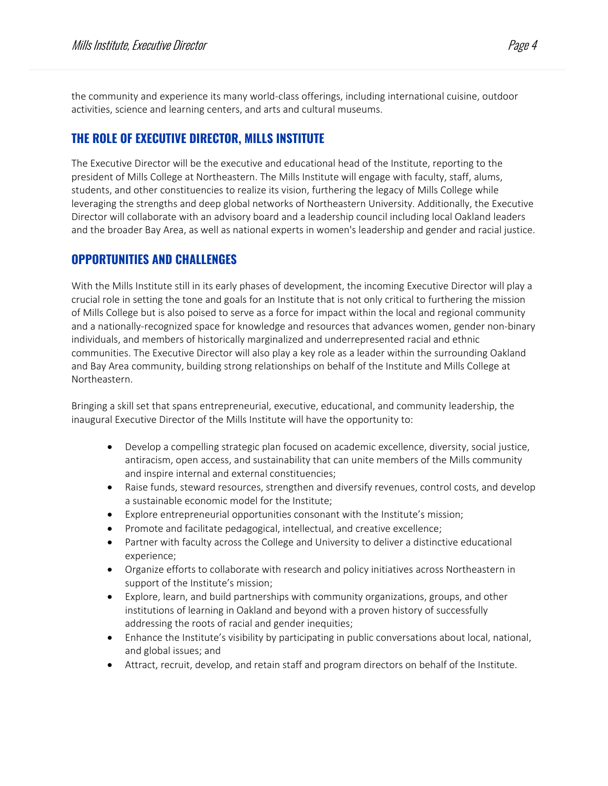the community and experience its many world-class offerings, including international cuisine, outdoor activities, science and learning centers, and arts and cultural museums.

# **THE ROLE OF EXECUTIVE DIRECTOR, MILLS INSTITUTE**

The Executive Director will be the executive and educational head of the Institute, reporting to the president of Mills College at Northeastern. The Mills Institute will engage with faculty, staff, alums, students, and other constituencies to realize its vision, furthering the legacy of Mills College while leveraging the strengths and deep global networks of Northeastern University. Additionally, the Executive Director will collaborate with an advisory board and a leadership council including local Oakland leaders and the broader Bay Area, as well as national experts in women's leadership and gender and racial justice.

#### **OPPORTUNITIES AND CHALLENGES**

With the Mills Institute still in its early phases of development, the incoming Executive Director will play a crucial role in setting the tone and goals for an Institute that is not only critical to furthering the mission of Mills College but is also poised to serve as a force for impact within the local and regional community and a nationally-recognized space for knowledge and resources that advances women, gender non-binary individuals, and members of historically marginalized and underrepresented racial and ethnic communities. The Executive Director will also play a key role as a leader within the surrounding Oakland and Bay Area community, building strong relationships on behalf of the Institute and Mills College at Northeastern.

Bringing a skill set that spans entrepreneurial, executive, educational, and community leadership, the inaugural Executive Director of the Mills Institute will have the opportunity to:

- Develop a compelling strategic plan focused on academic excellence, diversity, social justice, antiracism, open access, and sustainability that can unite members of the Mills community and inspire internal and external constituencies;
- Raise funds, steward resources, strengthen and diversify revenues, control costs, and develop a sustainable economic model for the Institute;
- Explore entrepreneurial opportunities consonant with the Institute's mission;
- Promote and facilitate pedagogical, intellectual, and creative excellence;
- Partner with faculty across the College and University to deliver a distinctive educational experience;
- Organize efforts to collaborate with research and policy initiatives across Northeastern in support of the Institute's mission;
- Explore, learn, and build partnerships with community organizations, groups, and other institutions of learning in Oakland and beyond with a proven history of successfully addressing the roots of racial and gender inequities;
- Enhance the Institute's visibility by participating in public conversations about local, national, and global issues; and
- Attract, recruit, develop, and retain staff and program directors on behalf of the Institute.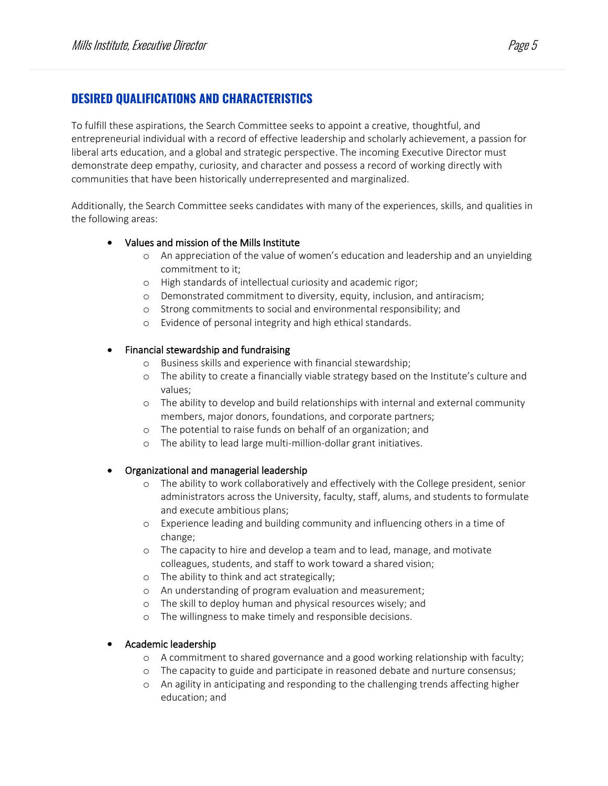# **DESIRED QUALIFICATIONS AND CHARACTERISTICS**

To fulfill these aspirations, the Search Committee seeks to appoint a creative, thoughtful, and entrepreneurial individual with a record of effective leadership and scholarly achievement, a passion for liberal arts education, and a global and strategic perspective. The incoming Executive Director must demonstrate deep empathy, curiosity, and character and possess a record of working directly with communities that have been historically underrepresented and marginalized.

Additionally, the Search Committee seeks candidates with many of the experiences, skills, and qualities in the following areas:

#### • Values and mission of the Mills Institute

- o An appreciation of the value of women's education and leadership and an unyielding commitment to it;
- o High standards of intellectual curiosity and academic rigor;
- o Demonstrated commitment to diversity, equity, inclusion, and antiracism;
- o Strong commitments to social and environmental responsibility; and
- o Evidence of personal integrity and high ethical standards.

#### • Financial stewardship and fundraising

- o Business skills and experience with financial stewardship;
- o The ability to create a financially viable strategy based on the Institute's culture and values;
- o The ability to develop and build relationships with internal and external community members, major donors, foundations, and corporate partners;
- o The potential to raise funds on behalf of an organization; and
- o The ability to lead large multi-million-dollar grant initiatives.

#### • Organizational and managerial leadership

- o The ability to work collaboratively and effectively with the College president, senior administrators across the University, faculty, staff, alums, and students to formulate and execute ambitious plans;
- o Experience leading and building community and influencing others in a time of change;
- o The capacity to hire and develop a team and to lead, manage, and motivate colleagues, students, and staff to work toward a shared vision;
- o The ability to think and act strategically;
- o An understanding of program evaluation and measurement;
- o The skill to deploy human and physical resources wisely; and
- o The willingness to make timely and responsible decisions.

#### • Academic leadership

- o A commitment to shared governance and a good working relationship with faculty;
- o The capacity to guide and participate in reasoned debate and nurture consensus;
- o An agility in anticipating and responding to the challenging trends affecting higher education; and